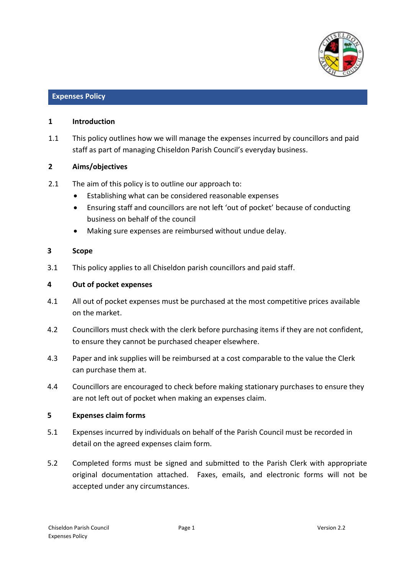

#### **Expenses Policy**

#### **1 Introduction**

1.1 This policy outlines how we will manage the expenses incurred by councillors and paid staff as part of managing Chiseldon Parish Council's everyday business.

#### **2 Aims/objectives**

- 2.1 The aim of this policy is to outline our approach to:
	- Establishing what can be considered reasonable expenses
	- Ensuring staff and councillors are not left 'out of pocket' because of conducting business on behalf of the council
	- Making sure expenses are reimbursed without undue delay.

#### **3 Scope**

3.1 This policy applies to all Chiseldon parish councillors and paid staff.

#### **4 Out of pocket expenses**

- 4.1 All out of pocket expenses must be purchased at the most competitive prices available on the market.
- 4.2 Councillors must check with the clerk before purchasing items if they are not confident, to ensure they cannot be purchased cheaper elsewhere.
- 4.3 Paper and ink supplies will be reimbursed at a cost comparable to the value the Clerk can purchase them at.
- 4.4 Councillors are encouraged to check before making stationary purchases to ensure they are not left out of pocket when making an expenses claim.

#### **5 Expenses claim forms**

- 5.1 Expenses incurred by individuals on behalf of the Parish Council must be recorded in detail on the agreed expenses claim form.
- 5.2 Completed forms must be signed and submitted to the Parish Clerk with appropriate original documentation attached. Faxes, emails, and electronic forms will not be accepted under any circumstances.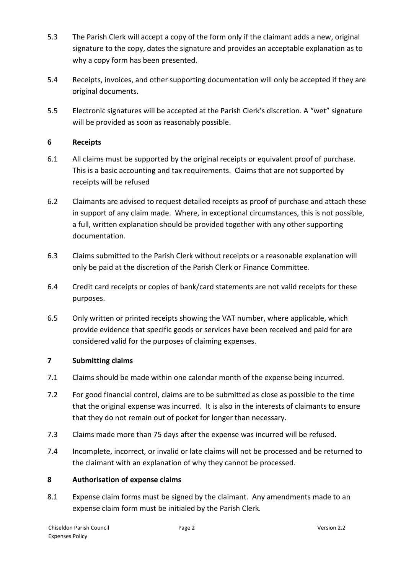- 5.3 The Parish Clerk will accept a copy of the form only if the claimant adds a new, original signature to the copy, dates the signature and provides an acceptable explanation as to why a copy form has been presented.
- 5.4 Receipts, invoices, and other supporting documentation will only be accepted if they are original documents.
- 5.5 Electronic signatures will be accepted at the Parish Clerk's discretion. A "wet" signature will be provided as soon as reasonably possible.

# **6 Receipts**

- 6.1 All claims must be supported by the original receipts or equivalent proof of purchase. This is a basic accounting and tax requirements. Claims that are not supported by receipts will be refused
- 6.2 Claimants are advised to request detailed receipts as proof of purchase and attach these in support of any claim made. Where, in exceptional circumstances, this is not possible, a full, written explanation should be provided together with any other supporting documentation.
- 6.3 Claims submitted to the Parish Clerk without receipts or a reasonable explanation will only be paid at the discretion of the Parish Clerk or Finance Committee.
- 6.4 Credit card receipts or copies of bank/card statements are not valid receipts for these purposes.
- 6.5 Only written or printed receipts showing the VAT number, where applicable, which provide evidence that specific goods or services have been received and paid for are considered valid for the purposes of claiming expenses.

# **7 Submitting claims**

- 7.1 Claims should be made within one calendar month of the expense being incurred.
- 7.2 For good financial control, claims are to be submitted as close as possible to the time that the original expense was incurred. It is also in the interests of claimants to ensure that they do not remain out of pocket for longer than necessary.
- 7.3 Claims made more than 75 days after the expense was incurred will be refused.
- 7.4 Incomplete, incorrect, or invalid or late claims will not be processed and be returned to the claimant with an explanation of why they cannot be processed.

# **8 Authorisation of expense claims**

8.1 Expense claim forms must be signed by the claimant. Any amendments made to an expense claim form must be initialed by the Parish Clerk.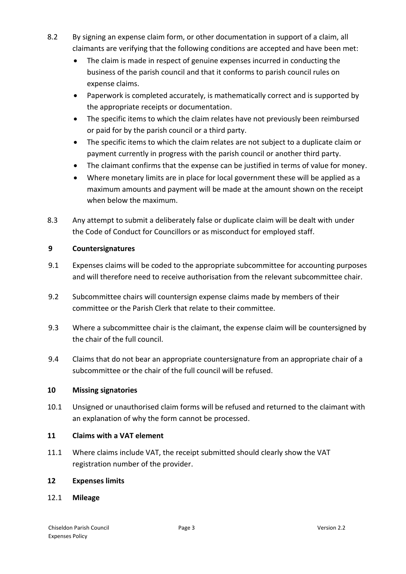- 8.2 By signing an expense claim form, or other documentation in support of a claim, all claimants are verifying that the following conditions are accepted and have been met:
	- The claim is made in respect of genuine expenses incurred in conducting the business of the parish council and that it conforms to parish council rules on expense claims.
	- Paperwork is completed accurately, is mathematically correct and is supported by the appropriate receipts or documentation.
	- The specific items to which the claim relates have not previously been reimbursed or paid for by the parish council or a third party.
	- The specific items to which the claim relates are not subject to a duplicate claim or payment currently in progress with the parish council or another third party.
	- The claimant confirms that the expense can be justified in terms of value for money.
	- Where monetary limits are in place for local government these will be applied as a maximum amounts and payment will be made at the amount shown on the receipt when below the maximum.
- 8.3 Any attempt to submit a deliberately false or duplicate claim will be dealt with under the Code of Conduct for Councillors or as misconduct for employed staff.

# **9 Countersignatures**

- 9.1 Expenses claims will be coded to the appropriate subcommittee for accounting purposes and will therefore need to receive authorisation from the relevant subcommittee chair.
- 9.2 Subcommittee chairs will countersign expense claims made by members of their committee or the Parish Clerk that relate to their committee.
- 9.3 Where a subcommittee chair is the claimant, the expense claim will be countersigned by the chair of the full council.
- 9.4 Claims that do not bear an appropriate countersignature from an appropriate chair of a subcommittee or the chair of the full council will be refused.

# **10 Missing signatories**

10.1 Unsigned or unauthorised claim forms will be refused and returned to the claimant with an explanation of why the form cannot be processed.

# **11 Claims with a VAT element**

11.1 Where claims include VAT, the receipt submitted should clearly show the VAT registration number of the provider.

#### **12 Expenses limits**

12.1 **Mileage**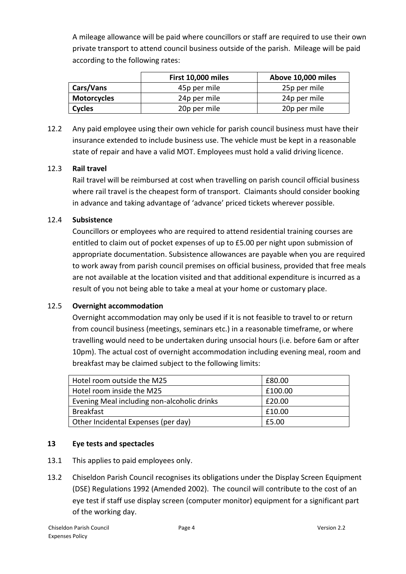A mileage allowance will be paid where councillors or staff are required to use their own private transport to attend council business outside of the parish. Mileage will be paid according to the following rates:

|                    | First 10,000 miles | Above 10,000 miles |
|--------------------|--------------------|--------------------|
| <b>Cars/Vans</b>   | 45p per mile       | 25p per mile       |
| <b>Motorcycles</b> | 24p per mile       | 24p per mile       |
| <b>Cycles</b>      | 20p per mile       | 20p per mile       |

12.2 Any paid employee using their own vehicle for parish council business must have their insurance extended to include business use. The vehicle must be kept in a reasonable state of repair and have a valid MOT. Employees must hold a valid driving licence.

# 12.3 **Rail travel**

Rail travel will be reimbursed at cost when travelling on parish council official business where rail travel is the cheapest form of transport. Claimants should consider booking in advance and taking advantage of 'advance' priced tickets wherever possible.

# 12.4 **Subsistence**

Councillors or employees who are required to attend residential training courses are entitled to claim out of pocket expenses of up to £5.00 per night upon submission of appropriate documentation. Subsistence allowances are payable when you are required to work away from parish council premises on official business, provided that free meals are not available at the location visited and that additional expenditure is incurred as a result of you not being able to take a meal at your home or customary place.

# 12.5 **Overnight accommodation**

Overnight accommodation may only be used if it is not feasible to travel to or return from council business (meetings, seminars etc.) in a reasonable timeframe, or where travelling would need to be undertaken during unsocial hours (i.e. before 6am or after 10pm). The actual cost of overnight accommodation including evening meal, room and breakfast may be claimed subject to the following limits:

| Hotel room outside the M25                  | £80.00  |
|---------------------------------------------|---------|
| Hotel room inside the M25                   | £100.00 |
| Evening Meal including non-alcoholic drinks | £20.00  |
| <b>Breakfast</b>                            | £10.00  |
| Other Incidental Expenses (per day)         | £5.00   |

# **13 Eye tests and spectacles**

- 13.1 This applies to paid employees only.
- 13.2 Chiseldon Parish Council recognises its obligations under the Display Screen Equipment (DSE) Regulations 1992 (Amended 2002). The council will contribute to the cost of an eye test if staff use display screen (computer monitor) equipment for a significant part of the working day.